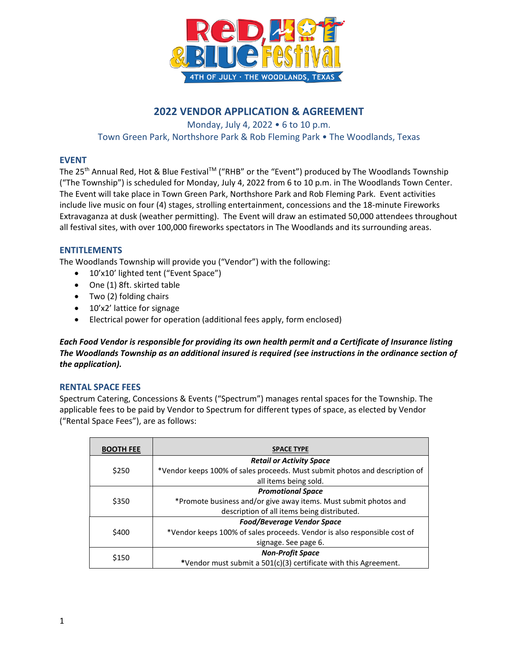

# **2022 VENDOR APPLICATION & AGREEMENT**

Monday, July 4, 2022 • 6 to 10 p.m. Town Green Park, Northshore Park & Rob Fleming Park • The Woodlands, Texas

# **EVENT**

The 25<sup>th</sup> Annual Red, Hot & Blue Festival™ ("RHB" or the "Event") produced by The Woodlands Township ("The Township") is scheduled for Monday, July 4, 2022 from 6 to 10 p.m. in The Woodlands Town Center. The Event will take place in Town Green Park, Northshore Park and Rob Fleming Park. Event activities include live music on four (4) stages, strolling entertainment, concessions and the 18-minute Fireworks Extravaganza at dusk (weather permitting). The Event will draw an estimated 50,000 attendees throughout all festival sites, with over 100,000 fireworks spectators in The Woodlands and its surrounding areas.

# **ENTITLEMENTS**

The Woodlands Township will provide you ("Vendor") with the following:

- 10'x10' lighted tent ("Event Space")
- One (1) 8ft. skirted table
- Two (2) folding chairs
- 10'x2' lattice for signage
- Electrical power for operation (additional fees apply, form enclosed)

*Each Food Vendor is responsible for providing its own health permit and a Certificate of Insurance listing The Woodlands Township as an additional insured is required (see instructions in the ordinance section of the application).*

# **RENTAL SPACE FEES**

Spectrum Catering, Concessions & Events ("Spectrum") manages rental spaces for the Township. The applicable fees to be paid by Vendor to Spectrum for different types of space, as elected by Vendor ("Rental Space Fees"), are as follows:

| <b>BOOTH FEE</b> | <b>SPACE TYPE</b>                                                           |
|------------------|-----------------------------------------------------------------------------|
| \$250            | <b>Retail or Activity Space</b>                                             |
|                  | *Vendor keeps 100% of sales proceeds. Must submit photos and description of |
|                  | all items being sold.                                                       |
| \$350            | <b>Promotional Space</b>                                                    |
|                  | *Promote business and/or give away items. Must submit photos and            |
|                  | description of all items being distributed.                                 |
| \$400            | <b>Food/Beverage Vendor Space</b>                                           |
|                  | *Vendor keeps 100% of sales proceeds. Vendor is also responsible cost of    |
|                  | signage. See page 6.                                                        |
| \$150            | <b>Non-Profit Space</b>                                                     |
|                  | *Vendor must submit a 501(c)(3) certificate with this Agreement.            |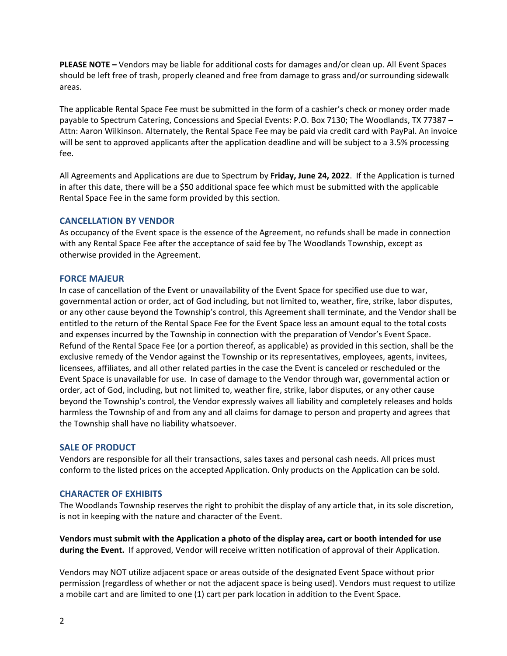**PLEASE NOTE –** Vendors may be liable for additional costs for damages and/or clean up. All Event Spaces should be left free of trash, properly cleaned and free from damage to grass and/or surrounding sidewalk areas.

The applicable Rental Space Fee must be submitted in the form of a cashier's check or money order made payable to Spectrum Catering, Concessions and Special Events: P.O. Box 7130; The Woodlands, TX 77387 – Attn: Aaron Wilkinson. Alternately, the Rental Space Fee may be paid via credit card with PayPal. An invoice will be sent to approved applicants after the application deadline and will be subject to a 3.5% processing fee.

All Agreements and Applications are due to Spectrum by **Friday, June 24, 2022**. If the Application is turned in after this date, there will be a \$50 additional space fee which must be submitted with the applicable Rental Space Fee in the same form provided by this section.

# **CANCELLATION BY VENDOR**

As occupancy of the Event space is the essence of the Agreement, no refunds shall be made in connection with any Rental Space Fee after the acceptance of said fee by The Woodlands Township, except as otherwise provided in the Agreement.

# **FORCE MAJEUR**

In case of cancellation of the Event or unavailability of the Event Space for specified use due to war, governmental action or order, act of God including, but not limited to, weather, fire, strike, labor disputes, or any other cause beyond the Township's control, this Agreement shall terminate, and the Vendor shall be entitled to the return of the Rental Space Fee for the Event Space less an amount equal to the total costs and expenses incurred by the Township in connection with the preparation of Vendor's Event Space. Refund of the Rental Space Fee (or a portion thereof, as applicable) as provided in this section, shall be the exclusive remedy of the Vendor against the Township or its representatives, employees, agents, invitees, licensees, affiliates, and all other related parties in the case the Event is canceled or rescheduled or the Event Space is unavailable for use. In case of damage to the Vendor through war, governmental action or order, act of God, including, but not limited to, weather fire, strike, labor disputes, or any other cause beyond the Township's control, the Vendor expressly waives all liability and completely releases and holds harmless the Township of and from any and all claims for damage to person and property and agrees that the Township shall have no liability whatsoever.

## **SALE OF PRODUCT**

Vendors are responsible for all their transactions, sales taxes and personal cash needs. All prices must conform to the listed prices on the accepted Application. Only products on the Application can be sold.

# **CHARACTER OF EXHIBITS**

The Woodlands Township reserves the right to prohibit the display of any article that, in its sole discretion, is not in keeping with the nature and character of the Event.

**Vendors must submit with the Application a photo of the display area, cart or booth intended for use during the Event.** If approved, Vendor will receive written notification of approval of their Application.

Vendors may NOT utilize adjacent space or areas outside of the designated Event Space without prior permission (regardless of whether or not the adjacent space is being used). Vendors must request to utilize a mobile cart and are limited to one (1) cart per park location in addition to the Event Space.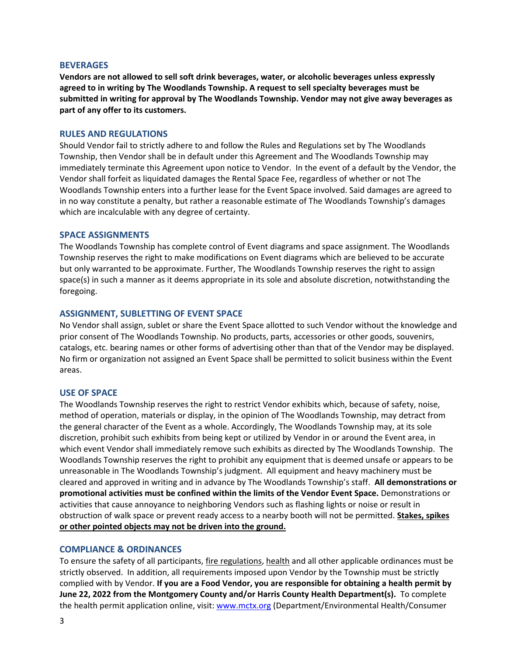#### **BEVERAGES**

**Vendors are not allowed to sell soft drink beverages, water, or alcoholic beverages unless expressly agreed to in writing by The Woodlands Township. A request to sell specialty beverages must be submitted in writing for approval by The Woodlands Township. Vendor may not give away beverages as part of any offer to its customers.**

#### **RULES AND REGULATIONS**

Should Vendor fail to strictly adhere to and follow the Rules and Regulations set by The Woodlands Township, then Vendor shall be in default under this Agreement and The Woodlands Township may immediately terminate this Agreement upon notice to Vendor. In the event of a default by the Vendor, the Vendor shall forfeit as liquidated damages the Rental Space Fee, regardless of whether or not The Woodlands Township enters into a further lease for the Event Space involved. Said damages are agreed to in no way constitute a penalty, but rather a reasonable estimate of The Woodlands Township's damages which are incalculable with any degree of certainty.

#### **SPACE ASSIGNMENTS**

The Woodlands Township has complete control of Event diagrams and space assignment. The Woodlands Township reserves the right to make modifications on Event diagrams which are believed to be accurate but only warranted to be approximate. Further, The Woodlands Township reserves the right to assign space(s) in such a manner as it deems appropriate in its sole and absolute discretion, notwithstanding the foregoing.

#### **ASSIGNMENT, SUBLETTING OF EVENT SPACE**

No Vendor shall assign, sublet or share the Event Space allotted to such Vendor without the knowledge and prior consent of The Woodlands Township. No products, parts, accessories or other goods, souvenirs, catalogs, etc. bearing names or other forms of advertising other than that of the Vendor may be displayed. No firm or organization not assigned an Event Space shall be permitted to solicit business within the Event areas.

#### **USE OF SPACE**

The Woodlands Township reserves the right to restrict Vendor exhibits which, because of safety, noise, method of operation, materials or display, in the opinion of The Woodlands Township, may detract from the general character of the Event as a whole. Accordingly, The Woodlands Township may, at its sole discretion, prohibit such exhibits from being kept or utilized by Vendor in or around the Event area, in which event Vendor shall immediately remove such exhibits as directed by The Woodlands Township. The Woodlands Township reserves the right to prohibit any equipment that is deemed unsafe or appears to be unreasonable in The Woodlands Township's judgment. All equipment and heavy machinery must be cleared and approved in writing and in advance by The Woodlands Township's staff. **All demonstrations or promotional activities must be confined within the limits of the Vendor Event Space.** Demonstrations or activities that cause annoyance to neighboring Vendors such as flashing lights or noise or result in obstruction of walk space or prevent ready access to a nearby booth will not be permitted. **Stakes, spikes or other pointed objects may not be driven into the ground.** 

#### **COMPLIANCE & ORDINANCES**

To ensure the safety of all participants, fire regulations, health and all other applicable ordinances must be strictly observed. In addition, all requirements imposed upon Vendor by the Township must be strictly complied with by Vendor. **If you are a Food Vendor, you are responsible for obtaining a health permit by June 22, 2022 from the Montgomery County and/or Harris County Health Department(s).** To complete the health permit application online, visit[: www.mctx.org](http://www.mctx.org/) (Department/Environmental Health/Consumer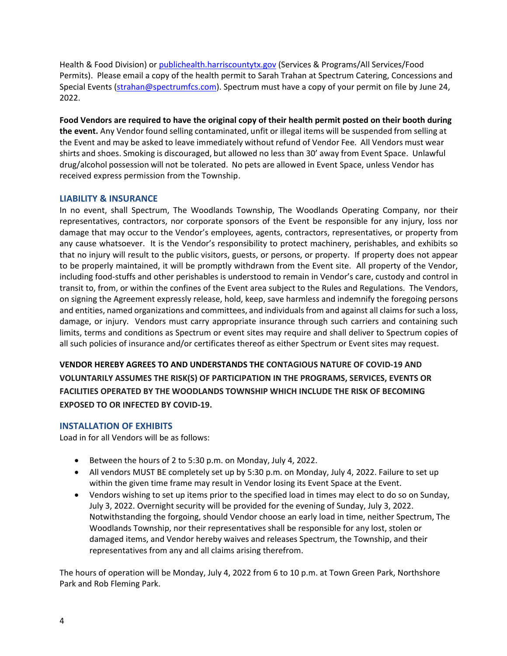Health & Food Division) or [publichealth.harriscountytx.gov](http://publichealth.harriscountytx.gov/) (Services & Programs/All Services/Food Permits). Please email a copy of the health permit to Sarah Trahan at Spectrum Catering, Concessions and Special Events [\(strahan@spectrumfcs.com\)](mailto:awilkinson@spectrumfcs.com). Spectrum must have a copy of your permit on file by June 24, 2022.

**Food Vendors are required to have the original copy of their health permit posted on their booth during the event.** Any Vendor found selling contaminated, unfit or illegal items will be suspended from selling at the Event and may be asked to leave immediately without refund of Vendor Fee. All Vendors must wear shirts and shoes. Smoking is discouraged, but allowed no less than 30' away from Event Space. Unlawful drug/alcohol possession will not be tolerated. No pets are allowed in Event Space, unless Vendor has received express permission from the Township.

# **LIABILITY & INSURANCE**

In no event, shall Spectrum, The Woodlands Township, The Woodlands Operating Company, nor their representatives, contractors, nor corporate sponsors of the Event be responsible for any injury, loss nor damage that may occur to the Vendor's employees, agents, contractors, representatives, or property from any cause whatsoever. It is the Vendor's responsibility to protect machinery, perishables, and exhibits so that no injury will result to the public visitors, guests, or persons, or property. If property does not appear to be properly maintained, it will be promptly withdrawn from the Event site. All property of the Vendor, including food-stuffs and other perishables is understood to remain in Vendor's care, custody and control in transit to, from, or within the confines of the Event area subject to the Rules and Regulations. The Vendors, on signing the Agreement expressly release, hold, keep, save harmless and indemnify the foregoing persons and entities, named organizations and committees, and individuals from and against all claims for such a loss, damage, or injury. Vendors must carry appropriate insurance through such carriers and containing such limits, terms and conditions as Spectrum or event sites may require and shall deliver to Spectrum copies of all such policies of insurance and/or certificates thereof as either Spectrum or Event sites may request.

**VENDOR HEREBY AGREES TO AND UNDERSTANDS THE CONTAGIOUS NATURE OF COVID-19 AND VOLUNTARILY ASSUMES THE RISK(S) OF PARTICIPATION IN THE PROGRAMS, SERVICES, EVENTS OR FACILITIES OPERATED BY THE WOODLANDS TOWNSHIP WHICH INCLUDE THE RISK OF BECOMING EXPOSED TO OR INFECTED BY COVID-19.**

# **INSTALLATION OF EXHIBITS**

Load in for all Vendors will be as follows:

- Between the hours of 2 to 5:30 p.m. on Monday, July 4, 2022.
- All vendors MUST BE completely set up by 5:30 p.m. on Monday, July 4, 2022. Failure to set up within the given time frame may result in Vendor losing its Event Space at the Event.
- Vendors wishing to set up items prior to the specified load in times may elect to do so on Sunday, July 3, 2022. Overnight security will be provided for the evening of Sunday, July 3, 2022. Notwithstanding the forgoing, should Vendor choose an early load in time, neither Spectrum, The Woodlands Township, nor their representatives shall be responsible for any lost, stolen or damaged items, and Vendor hereby waives and releases Spectrum, the Township, and their representatives from any and all claims arising therefrom.

The hours of operation will be Monday, July 4, 2022 from 6 to 10 p.m. at Town Green Park, Northshore Park and Rob Fleming Park.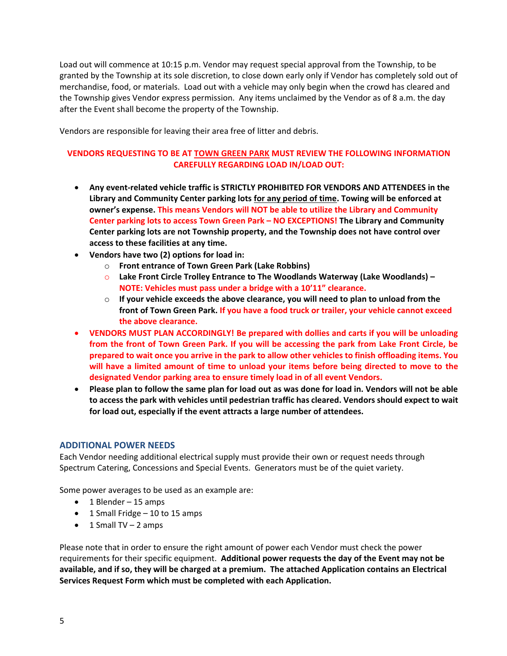Load out will commence at 10:15 p.m. Vendor may request special approval from the Township, to be granted by the Township at its sole discretion, to close down early only if Vendor has completely sold out of merchandise, food, or materials. Load out with a vehicle may only begin when the crowd has cleared and the Township gives Vendor express permission. Any items unclaimed by the Vendor as of 8 a.m. the day after the Event shall become the property of the Township.

Vendors are responsible for leaving their area free of litter and debris.

# **VENDORS REQUESTING TO BE AT TOWN GREEN PARK MUST REVIEW THE FOLLOWING INFORMATION CAREFULLY REGARDING LOAD IN/LOAD OUT:**

- **Any event-related vehicle traffic is STRICTLY PROHIBITED FOR VENDORS AND ATTENDEES in the Library and Community Center parking lots for any period of time. Towing will be enforced at owner's expense. This means Vendors will NOT be able to utilize the Library and Community Center parking lots to access Town Green Park – NO EXCEPTIONS! The Library and Community Center parking lots are not Township property, and the Township does not have control over access to these facilities at any time.**
- **Vendors have two (2) options for load in:**
	- o **Front entrance of Town Green Park (Lake Robbins)**
	- o **Lake Front Circle Trolley Entrance to The Woodlands Waterway (Lake Woodlands) – NOTE: Vehicles must pass under a bridge with a 10'11" clearance.**
	- o **If your vehicle exceeds the above clearance, you will need to plan to unload from the front of Town Green Park. If you have a food truck or trailer, your vehicle cannot exceed the above clearance.**
- **VENDORS MUST PLAN ACCORDINGLY! Be prepared with dollies and carts if you will be unloading from the front of Town Green Park. If you will be accessing the park from Lake Front Circle, be prepared to wait once you arrive in the park to allow other vehicles to finish offloading items. You will have a limited amount of time to unload your items before being directed to move to the designated Vendor parking area to ensure timely load in of all event Vendors.**
- **Please plan to follow the same plan for load out as was done for load in. Vendors will not be able to access the park with vehicles until pedestrian traffic has cleared. Vendors should expect to wait for load out, especially if the event attracts a large number of attendees.**

## **ADDITIONAL POWER NEEDS**

Each Vendor needing additional electrical supply must provide their own or request needs through Spectrum Catering, Concessions and Special Events. Generators must be of the quiet variety.

Some power averages to be used as an example are:

- $\bullet$  1 Blender 15 amps
- 1 Small Fridge 10 to 15 amps
- $\bullet$  1 Small TV 2 amps

Please note that in order to ensure the right amount of power each Vendor must check the power requirements for their specific equipment. **Additional power requests the day of the Event may not be available, and if so, they will be charged at a premium. The attached Application contains an Electrical Services Request Form which must be completed with each Application.**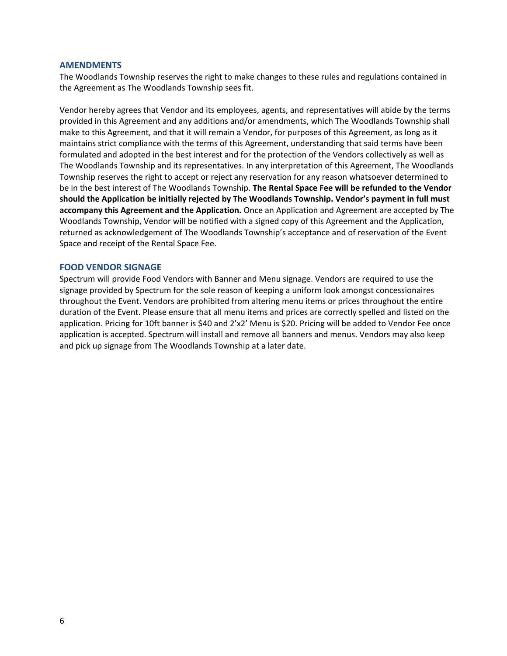#### **AMENDMENTS**

The Woodlands Township reserves the right to make changes to these rules and regulations contained in the Agreement as The Woodlands Township sees fit.

Vendor hereby agrees that Vendor and its employees, agents, and representatives will abide by the terms provided in this Agreement and any additions and/or amendments, which The Woodlands Township shall make to this Agreement, and that it will remain a Vendor, for purposes of this Agreement, as long as it maintains strict compliance with the terms of this Agreement, understanding that said terms have been formulated and adopted in the best interest and for the protection of the Vendors collectively as well as The Woodlands Township and its representatives. In any interpretation of this Agreement, The Woodlands Township reserves the right to accept or reject any reservation for any reason whatsoever determined to be in the best interest of The Woodlands Township. **The Rental Space Fee will be refunded to the Vendor should the Application be initially rejected by The Woodlands Township. Vendor's payment in full must accompany this Agreement and the Application.** Once an Application and Agreement are accepted by The Woodlands Township, Vendor will be notified with a signed copy of this Agreement and the Application, returned as acknowledgement of The Woodlands Township's acceptance and of reservation of the Event Space and receipt of the Rental Space Fee.

### **FOOD VENDOR SIGNAGE**

Spectrum will provide Food Vendors with Banner and Menu signage. Vendors are required to use the signage provided by Spectrum for the sole reason of keeping a uniform look amongst concessionaires throughout the Event. Vendors are prohibited from altering menu items or prices throughout the entire duration of the Event. Please ensure that all menu items and prices are correctly spelled and listed on the application. Pricing for 10ft banner is \$40 and 2'x2' Menu is \$20. Pricing will be added to Vendor Fee once application is accepted. Spectrum will install and remove all banners and menus. Vendors may also keep and pick up signage from The Woodlands Township at a later date.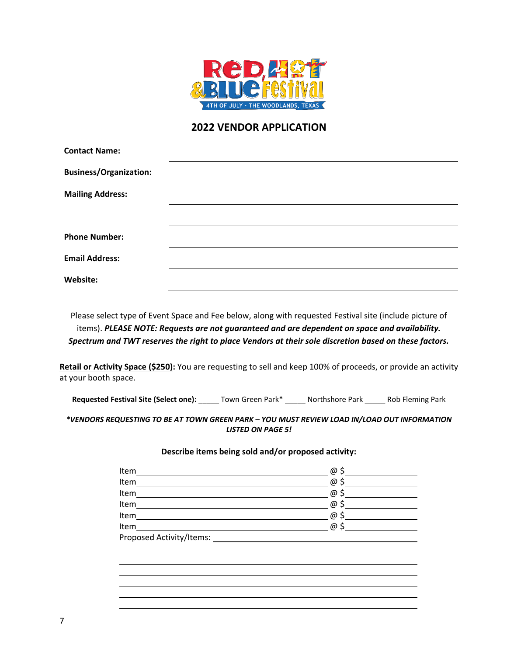

# **2022 VENDOR APPLICATION**

| <b>Contact Name:</b>          |  |  |
|-------------------------------|--|--|
| <b>Business/Organization:</b> |  |  |
| <b>Mailing Address:</b>       |  |  |
|                               |  |  |
| <b>Phone Number:</b>          |  |  |
| <b>Email Address:</b>         |  |  |
| Website:                      |  |  |

Please select type of Event Space and Fee below, along with requested Festival site (include picture of items). *PLEASE NOTE: Requests are not guaranteed and are dependent on space and availability. Spectrum and TWT reserves the right to place Vendors at their sole discretion based on these factors.*

**Retail or Activity Space (\$250):** You are requesting to sell and keep 100% of proceeds, or provide an activity at your booth space.

**Requested Festival Site (Select one):** \_\_\_\_\_ Town Green Park\* \_\_\_\_\_ Northshore Park \_\_\_\_\_ Rob Fleming Park

*\*VENDORS REQUESTING TO BE AT TOWN GREEN PARK – YOU MUST REVIEW LOAD IN/LOAD OUT INFORMATION LISTED ON PAGE 5!*

#### **Describe items being sold and/or proposed activity:**

| Item                                                                                                                            | @           |
|---------------------------------------------------------------------------------------------------------------------------------|-------------|
| Item                                                                                                                            | @ \$        |
| Item                                                                                                                            | @ \$        |
| Item                                                                                                                            | $\omega$ \$ |
| Item                                                                                                                            | @ \$        |
| Item<br><u> 1989 - Johann Stoff, deutscher Stoffen und der Stoffen und der Stoffen und der Stoffen und der Stoffen und der </u> | @ \$        |
| Proposed Activity/Items:                                                                                                        |             |
|                                                                                                                                 |             |
|                                                                                                                                 |             |
|                                                                                                                                 |             |
|                                                                                                                                 |             |
|                                                                                                                                 |             |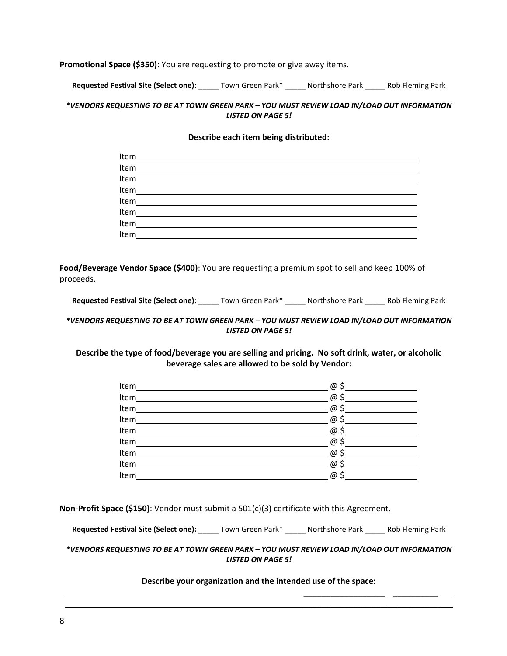**Promotional Space (\$350)**: You are requesting to promote or give away items.

**Requested Festival Site (Select one):** \_\_\_\_\_ Town Green Park\* \_\_\_\_\_ Northshore Park \_\_\_\_\_ Rob Fleming Park

## *\*VENDORS REQUESTING TO BE AT TOWN GREEN PARK – YOU MUST REVIEW LOAD IN/LOAD OUT INFORMATION LISTED ON PAGE 5!*

#### **Describe each item being distributed:**

| Item |  |
|------|--|
| Item |  |
| Item |  |
| Item |  |
| Item |  |
| Item |  |
| Item |  |
| Item |  |

**Food/Beverage Vendor Space (\$400)**: You are requesting a premium spot to sell and keep 100% of proceeds.

**Requested Festival Site (Select one):** \_\_\_\_\_ Town Green Park\* \_\_\_\_\_ Northshore Park \_\_\_\_\_ Rob Fleming Park

## *\*VENDORS REQUESTING TO BE AT TOWN GREEN PARK – YOU MUST REVIEW LOAD IN/LOAD OUT INFORMATION LISTED ON PAGE 5!*

## **Describe the type of food/beverage you are selling and pricing. No soft drink, water, or alcoholic beverage sales are allowed to be sold by Vendor:**

| Item | @    |
|------|------|
| Item | @    |
| Item | @ \$ |
| Item | @    |
| Item | @    |
| Item | @    |
| Item | @    |
| Item | @    |
| Item | @    |

**Non-Profit Space (\$150)**: Vendor must submit a 501(c)(3) certificate with this Agreement.

**Requested Festival Site (Select one):** \_\_\_\_\_ Town Green Park\* \_\_\_\_\_ Northshore Park \_\_\_\_\_ Rob Fleming Park

#### *\*VENDORS REQUESTING TO BE AT TOWN GREEN PARK – YOU MUST REVIEW LOAD IN/LOAD OUT INFORMATION LISTED ON PAGE 5!*

#### **Describe your organization and the intended use of the space:**

\_\_\_\_\_\_\_\_\_\_\_\_\_\_\_\_\_\_ \_\_\_\_\_\_\_\_\_\_  $\frac{1}{2}$  , and the set of the set of the set of the set of the set of the set of the set of the set of the set of the set of the set of the set of the set of the set of the set of the set of the set of the set of the set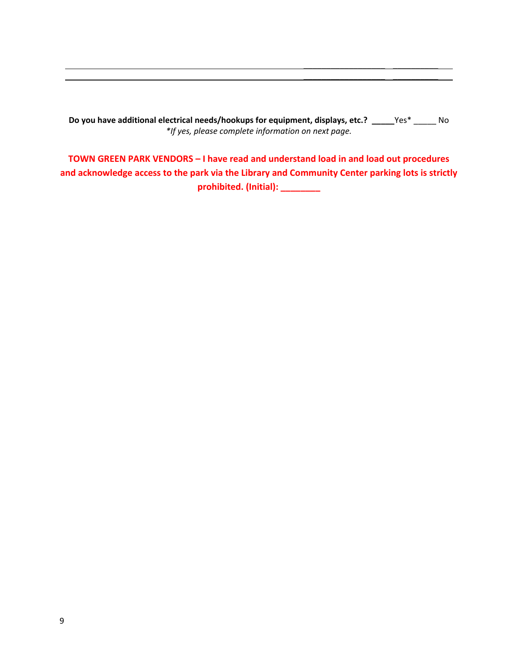**Do you have additional electrical needs/hookups for equipment, displays, etc.? \_\_\_\_\_**Yes\* \_\_\_\_\_ No *\*If yes, please complete information on next page.*

\_\_\_\_\_\_\_\_\_\_\_\_\_\_\_\_\_\_ \_\_\_\_\_\_\_\_\_\_ \_\_\_\_\_\_\_\_\_\_\_\_\_\_\_\_\_\_ \_\_\_\_\_\_\_\_\_\_

**TOWN GREEN PARK VENDORS – I have read and understand load in and load out procedures and acknowledge access to the park via the Library and Community Center parking lots is strictly prohibited. (Initial): \_\_\_\_\_\_\_\_**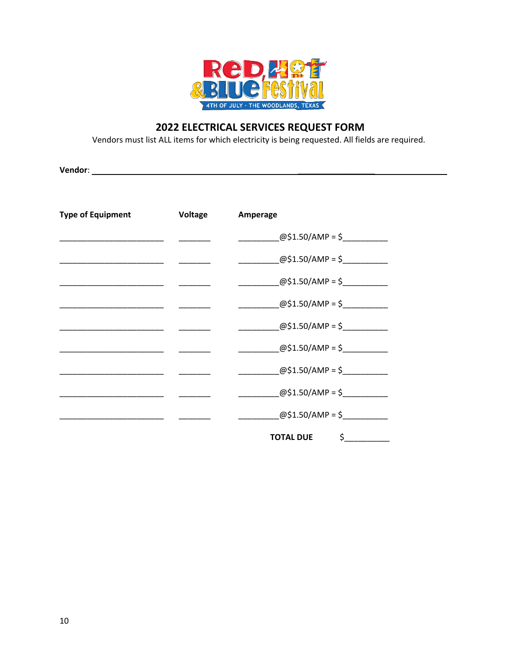

# 2022 ELECTRICAL SERVICES REQUEST FORM

Vendors must list ALL items for which electricity is being requested. All fields are required.

| <b>Type of Equipment</b> | Voltage | Amperage                          |
|--------------------------|---------|-----------------------------------|
|                          |         | @\$1.50/AMP = \$                  |
|                          |         | @\$1.50/AMP = \$                  |
|                          |         | $@$1.50/AMP = $$                  |
|                          |         | @\$1.50/AMP = \$                  |
|                          |         | @\$1.50/AMP = \$                  |
|                          |         | @\$1.50/AMP = \$                  |
|                          |         | @\$1.50/AMP = \$                  |
|                          |         | @\$1.50/AMP = \$                  |
|                          |         | @\$1.50/AMP = \$                  |
|                          |         | $\frac{1}{2}$<br><b>TOTAL DUE</b> |